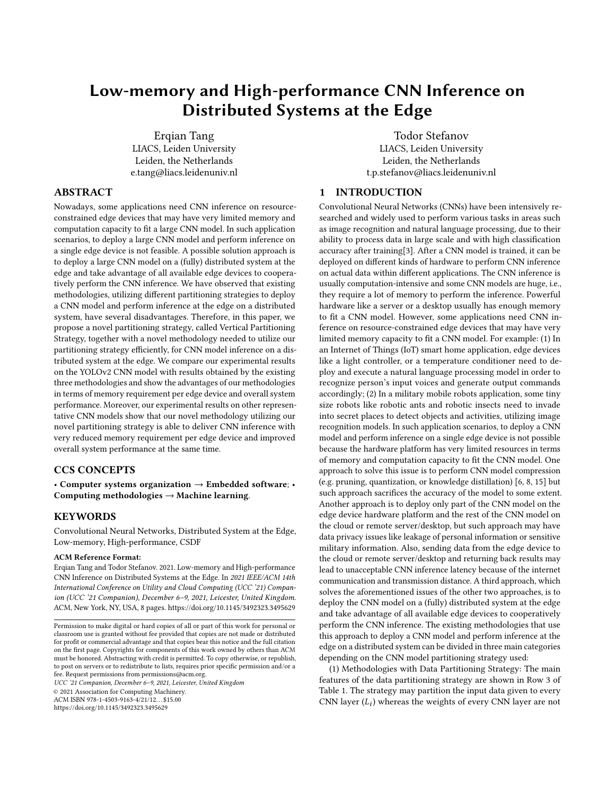# Low-memory and High-performance CNN Inference on Distributed Systems at the Edge

Erqian Tang LIACS, Leiden University Leiden, the Netherlands e.tang@liacs.leidenuniv.nl

Todor Stefanov LIACS, Leiden University Leiden, the Netherlands t.p.stefanov@liacs.leidenuniv.nl

## ABSTRACT

Nowadays, some applications need CNN inference on resourceconstrained edge devices that may have very limited memory and computation capacity to fit a large CNN model. In such application scenarios, to deploy a large CNN model and perform inference on a single edge device is not feasible. A possible solution approach is to deploy a large CNN model on a (fully) distributed system at the edge and take advantage of all available edge devices to cooperatively perform the CNN inference. We have observed that existing methodologies, utilizing different partitioning strategies to deploy a CNN model and perform inference at the edge on a distributed system, have several disadvantages. Therefore, in this paper, we propose a novel partitioning strategy, called Vertical Partitioning Strategy, together with a novel methodology needed to utilize our partitioning strategy efficiently, for CNN model inference on a distributed system at the edge. We compare our experimental results on the YOLOv2 CNN model with results obtained by the existing three methodologies and show the advantages of our methodologies in terms of memory requirement per edge device and overall system performance. Moreover, our experimental results on other representative CNN models show that our novel methodology utilizing our novel partitioning strategy is able to deliver CNN inference with very reduced memory requirement per edge device and improved overall system performance at the same time.

## CCS CONCEPTS

• Computer systems organization  $\rightarrow$  Embedded software; • Computing methodologies  $\rightarrow$  Machine learning.

## **KEYWORDS**

Convolutional Neural Networks, Distributed System at the Edge, Low-memory, High-performance, CSDF

#### ACM Reference Format:

Erqian Tang and Todor Stefanov. 2021. Low-memory and High-performance CNN Inference on Distributed Systems at the Edge. In 2021 IEEE/ACM 14th International Conference on Utility and Cloud Computing (UCC '21) Companion (UCC '21 Companion), December 6–9, 2021, Leicester, United Kingdom. ACM, New York, NY, USA, [8](#page-7-0) pages.<https://doi.org/10.1145/3492323.3495629>

UCC '21 Companion, December 6–9, 2021, Leicester, United Kingdom

© 2021 Association for Computing Machinery.

ACM ISBN 978-1-4503-9163-4/21/12. . . \$15.00

<https://doi.org/10.1145/3492323.3495629>

## <span id="page-0-0"></span>1 INTRODUCTION

Convolutional Neural Networks (CNNs) have been intensively researched and widely used to perform various tasks in areas such as image recognition and natural language processing, due to their ability to process data in large scale and with high classification accuracy after training[\[3\]](#page-7-1). After a CNN model is trained, it can be deployed on different kinds of hardware to perform CNN inference on actual data within different applications. The CNN inference is usually computation-intensive and some CNN models are huge, i.e., they require a lot of memory to perform the inference. Powerful hardware like a server or a desktop usually has enough memory to fit a CNN model. However, some applications need CNN inference on resource-constrained edge devices that may have very limited memory capacity to fit a CNN model. For example: (1) In an Internet of Things (IoT) smart home application, edge devices like a light controller, or a temperature conditioner need to deploy and execute a natural language processing model in order to recognize person's input voices and generate output commands accordingly; (2) In a military mobile robots application, some tiny size robots like robotic ants and robotic insects need to invade into secret places to detect objects and activities, utilizing image recognition models. In such application scenarios, to deploy a CNN model and perform inference on a single edge device is not possible because the hardware platform has very limited resources in terms of memory and computation capacity to fit the CNN model. One approach to solve this issue is to perform CNN model compression (e.g. pruning, quantization, or knowledge distillation) [\[6,](#page-7-2) [8,](#page-7-3) [15\]](#page-7-4) but such approach sacrifices the accuracy of the model to some extent. Another approach is to deploy only part of the CNN model on the edge device hardware platform and the rest of the CNN model on the cloud or remote server/desktop, but such approach may have data privacy issues like leakage of personal information or sensitive military information. Also, sending data from the edge device to the cloud or remote server/desktop and returning back results may lead to unacceptable CNN inference latency because of the internet communication and transmission distance. A third approach, which solves the aforementioned issues of the other two approaches, is to deploy the CNN model on a (fully) distributed system at the edge and take advantage of all available edge devices to cooperatively perform the CNN inference. The existing methodologies that use this approach to deploy a CNN model and perform inference at the edge on a distributed system can be divided in three main categories depending on the CNN model partitioning strategy used:

(1) Methodologies with Data Partitioning Strategy: The main features of the data partitioning strategy are shown in Row 3 of Table [1.](#page-1-0) The strategy may partition the input data given to every CNN layer  $(L_i)$  whereas the weights of every CNN layer are not

Permission to make digital or hard copies of all or part of this work for personal or classroom use is granted without fee provided that copies are not made or distributed for profit or commercial advantage and that copies bear this notice and the full citation on the first page. Copyrights for components of this work owned by others than ACM must be honored. Abstracting with credit is permitted. To copy otherwise, or republish, to post on servers or to redistribute to lists, requires prior specific permission and/or a fee. Request permissions from permissions@acm.org.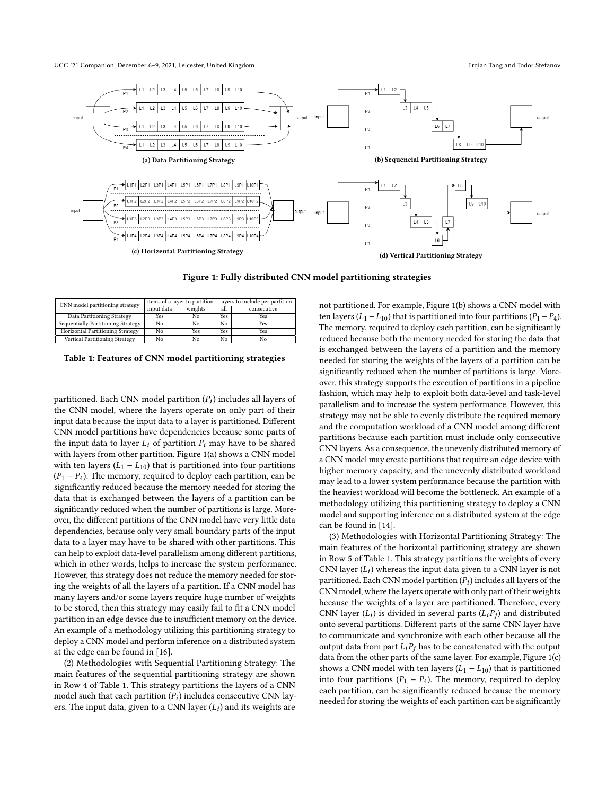#### UCC '21 Companion, December 6-9, 2021, Leicester, United Kingdom **Erqian Tang and Todor Stefanov** Erqian Tang and Todor Stefanov

<span id="page-1-2"></span>

<span id="page-1-3"></span><span id="page-1-1"></span>

Figure 1: Fully distributed CNN model partitioning strategies

<span id="page-1-0"></span>

| CNN model partitioning strategy    |            | items of a layer to partition | layers to include per partition |             |  |
|------------------------------------|------------|-------------------------------|---------------------------------|-------------|--|
|                                    | input data | weights                       | all                             | consecutive |  |
| Data Partitioning Strategy         | Yes        | No                            | Yes                             | Yes         |  |
| Sequentially Partitioning Strategy | No         | N٥                            | No                              | Yes         |  |
| Horizontal Partitioning Strategy   | No         | Yes                           | <b>Yes</b>                      | Yes         |  |
| Vertical Partitioning Strategy     | No         | No                            | No                              | Nο          |  |

| Table 1: Features of CNN model partitioning strategies |  |  |
|--------------------------------------------------------|--|--|
|--------------------------------------------------------|--|--|

partitioned. Each CNN model partition  $(P_i)$  includes all layers of their the CNN model, where the layers operate on only part of their the CNN model, where the layers operate on only part of their input data because the input data to a layer is partitioned. Different CNN model partitions have dependencies because some parts of the input data to layer  $L_i$  of partition  $P_i$  may have to be shared with layers from other partition. Figure [1\(a\)](#page-1-1) shows a CNN model with ten layers  $(L_1 - L_{10})$  that is partitioned into four partitions  $(P_1 - P_4)$ . The memory, required to deploy each partition, can be significantly reduced because the memory needed for storing the data that is exchanged between the layers of a partition can be significantly reduced when the number of partitions is large. Moreover, the different partitions of the CNN model have very little data dependencies, because only very small boundary parts of the input data to a layer may have to be shared with other partitions. This can help to exploit data-level parallelism among different partitions, which in other words, helps to increase the system performance. However, this strategy does not reduce the memory needed for storing the weights of all the layers of a partition. If a CNN model has many layers and/or some layers require huge number of weights to be stored, then this strategy may easily fail to fit a CNN model partition in an edge device due to insufficient memory on the device. An example of a methodology utilizing this partitioning strategy to deploy a CNN model and perform inference on a distributed system at the edge can be found in [\[16\]](#page-7-5).

(2) Methodologies with Sequential Partitioning Strategy: The main features of the sequential partitioning strategy are shown in Row 4 of Table [1.](#page-1-0) This strategy partitions the layers of a CNN model such that each partition  $(P_i)$  includes consecutive CNN lay-<br>ere. The input data, given to a CNN layer  $(I_i)$  and its weights are ers. The input data, given to a CNN layer  $(L_i)$  and its weights are

<span id="page-1-4"></span>not partitioned. For example, Figure [1\(b\)](#page-1-2) shows a CNN model with ten layers (L<sub>1</sub> − L<sub>10</sub>) that is partitioned into four partitions (P<sub>1</sub> − P<sub>4</sub>). The memory, required to deploy each partition, can be significantly reduced because both the memory needed for storing the data that is exchanged between the layers of a partition and the memory needed for storing the weights of the layers of a partition can be significantly reduced when the number of partitions is large. Moreover, this strategy supports the execution of partitions in a pipeline fashion, which may help to exploit both data-level and task-level parallelism and to increase the system performance. However, this strategy may not be able to evenly distribute the required memory and the computation workload of a CNN model among different partitions because each partition must include only consecutive CNN layers. As a consequence, the unevenly distributed memory of a CNN model may create partitions that require an edge device with higher memory capacity, and the unevenly distributed workload may lead to a lower system performance because the partition with the heaviest workload will become the bottleneck. An example of a methodology utilizing this partitioning strategy to deploy a CNN model and supporting inference on a distributed system at the edge can be found in [\[14\]](#page-7-6).

(3) Methodologies with Horizontal Partitioning Strategy: The main features of the horizontal partitioning strategy are shown in Row 5 of Table [1.](#page-1-0) This strategy partitions the weights of every CNN layer  $(L_i)$  whereas the input data given to a CNN layer is not<br>partitioned. Each CNN model partition  $(P_i)$  includes all layers of the partitioned. Each CNN model partition  $(P_i)$  includes all layers of the<br>CNN model, where the layers operate with only part of their weights CNN model, where the layers operate with only part of their weights because the weights of a layer are partitioned. Therefore, every CNN layer  $(L_i)$  is divided in several parts  $(L_i P_j)$  and distributed<br>onto several partitions. Different parts of the same CNN layer have onto several partitions. Different parts of the same CNN layer have to communicate and synchronize with each other because all the output data from part  $L_iP_i$  has to be concatenated with the output data from the other parts of the same layer. For example, Figure [1\(c\)](#page-1-3) shows a CNN model with ten layers  $(L_1 - L_{10})$  that is partitioned into four partitions  $(P_1 - P_4)$ . The memory, required to deploy each partition, can be significantly reduced because the memory needed for storing the weights of each partition can be significantly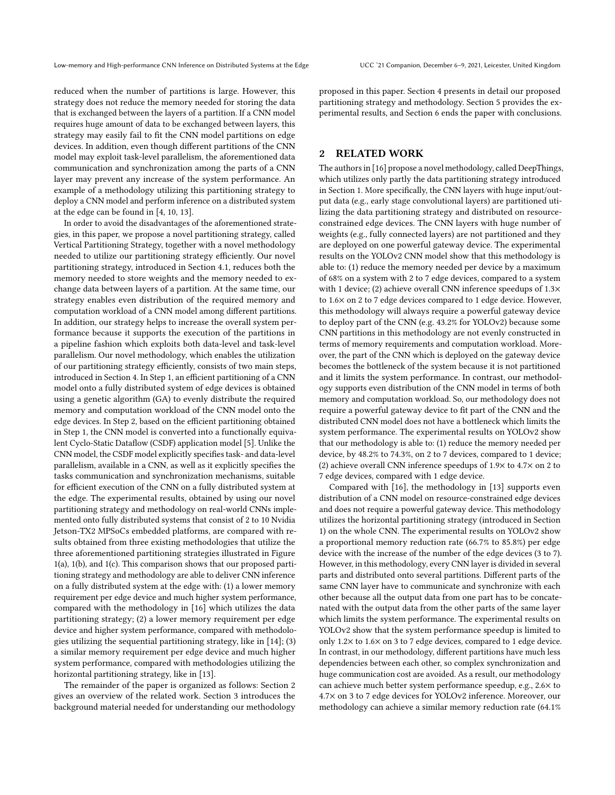reduced when the number of partitions is large. However, this strategy does not reduce the memory needed for storing the data that is exchanged between the layers of a partition. If a CNN model requires huge amount of data to be exchanged between layers, this strategy may easily fail to fit the CNN model partitions on edge devices. In addition, even though different partitions of the CNN model may exploit task-level parallelism, the aforementioned data communication and synchronization among the parts of a CNN layer may prevent any increase of the system performance. An example of a methodology utilizing this partitioning strategy to deploy a CNN model and perform inference on a distributed system at the edge can be found in [\[4,](#page-7-7) [10,](#page-7-8) [13\]](#page-7-9).

In order to avoid the disadvantages of the aforementioned strategies, in this paper, we propose a novel partitioning strategy, called Vertical Partitioning Strategy, together with a novel methodology needed to utilize our partitioning strategy efficiently. Our novel partitioning strategy, introduced in Section [4.1,](#page-4-0) reduces both the memory needed to store weights and the memory needed to exchange data between layers of a partition. At the same time, our strategy enables even distribution of the required memory and computation workload of a CNN model among different partitions. In addition, our strategy helps to increase the overall system performance because it supports the execution of the partitions in a pipeline fashion which exploits both data-level and task-level parallelism. Our novel methodology, which enables the utilization of our partitioning strategy efficiently, consists of two main steps, introduced in Section [4.](#page-4-1) In Step 1, an efficient partitioning of a CNN model onto a fully distributed system of edge devices is obtained using a genetic algorithm (GA) to evenly distribute the required memory and computation workload of the CNN model onto the edge devices. In Step 2, based on the efficient partitioning obtained in Step 1, the CNN model is converted into a functionally equivalent Cyclo-Static Dataflow (CSDF) application model [\[5\]](#page-7-10). Unlike the CNN model, the CSDF model explicitly specifies task- and data-level parallelism, available in a CNN, as well as it explicitly specifies the tasks communication and synchronization mechanisms, suitable for efficient execution of the CNN on a fully distributed system at the edge. The experimental results, obtained by using our novel partitioning strategy and methodology on real-world CNNs implemented onto fully distributed systems that consist of 2 to 10 Nvidia Jetson-TX2 MPSoCs embedded platforms, are compared with results obtained from three existing methodologies that utilize the three aforementioned partitioning strategies illustrated in Figure [1\(a\),](#page-1-1) [1\(b\),](#page-1-2) and [1\(c\).](#page-1-3) This comparison shows that our proposed partitioning strategy and methodology are able to deliver CNN inference on a fully distributed system at the edge with: (1) a lower memory requirement per edge device and much higher system performance, compared with the methodology in [\[16\]](#page-7-5) which utilizes the data partitioning strategy; (2) a lower memory requirement per edge device and higher system performance, compared with methodologies utilizing the sequential partitioning strategy, like in [\[14\]](#page-7-6); (3) a similar memory requirement per edge device and much higher system performance, compared with methodologies utilizing the horizontal partitioning strategy, like in [\[13\]](#page-7-9).

The remainder of the paper is organized as follows: Section [2](#page-2-0) gives an overview of the related work. Section [3](#page-3-0) introduces the background material needed for understanding our methodology proposed in this paper. Section [4](#page-4-1) presents in detail our proposed partitioning strategy and methodology. Section [5](#page-6-0) provides the experimental results, and Section [6](#page-7-11) ends the paper with conclusions.

## <span id="page-2-0"></span>2 RELATED WORK

The authors in [\[16\]](#page-7-5) propose a novel methodology, called DeepThings, which utilizes only partly the data partitioning strategy introduced in Section [1.](#page-0-0) More specifically, the CNN layers with huge input/output data (e.g., early stage convolutional layers) are partitioned utilizing the data partitioning strategy and distributed on resourceconstrained edge devices. The CNN layers with huge number of weights (e.g., fully connected layers) are not partitioned and they are deployed on one powerful gateway device. The experimental results on the YOLOv2 CNN model show that this methodology is able to: (1) reduce the memory needed per device by a maximum of 68% on a system with 2 to 7 edge devices, compared to a system with 1 device; (2) achieve overall CNN inference speedups of  $1.3\times$ to 1.6× on 2 to 7 edge devices compared to 1 edge device. However, this methodology will always require a powerful gateway device to deploy part of the CNN (e.g. 43.2% for YOLOv2) because some CNN partitions in this methodology are not evenly constructed in terms of memory requirements and computation workload. Moreover, the part of the CNN which is deployed on the gateway device becomes the bottleneck of the system because it is not partitioned and it limits the system performance. In contrast, our methodology supports even distribution of the CNN model in terms of both memory and computation workload. So, our methodology does not require a powerful gateway device to fit part of the CNN and the distributed CNN model does not have a bottleneck which limits the system performance. The experimental results on YOLOv2 show that our methodology is able to: (1) reduce the memory needed per device, by 48.2% to 74.3%, on 2 to 7 devices, compared to 1 device; (2) achieve overall CNN inference speedups of 1.9× to 4.7× on 2 to 7 edge devices, compared with 1 edge device.

Compared with [\[16\]](#page-7-5), the methodology in [\[13\]](#page-7-9) supports even distribution of a CNN model on resource-constrained edge devices and does not require a powerful gateway device. This methodology utilizes the horizontal partitioning strategy (introduced in Section [1\)](#page-0-0) on the whole CNN. The experimental results on YOLOv2 show a proportional memory reduction rate (66.7% to 85.8%) per edge device with the increase of the number of the edge devices (3 to 7). However, in this methodology, every CNN layer is divided in several parts and distributed onto several partitions. Different parts of the same CNN layer have to communicate and synchronize with each other because all the output data from one part has to be concatenated with the output data from the other parts of the same layer which limits the system performance. The experimental results on YOLOv2 show that the system performance speedup is limited to only 1.2× to 1.6× on 3 to 7 edge devices, compared to 1 edge device. In contrast, in our methodology, different partitions have much less dependencies between each other, so complex synchronization and huge communication cost are avoided. As a result, our methodology can achieve much better system performance speedup, e.g., 2.6× to 4.7× on 3 to 7 edge devices for YOLOv2 inference. Moreover, our methodology can achieve a similar memory reduction rate (64.1%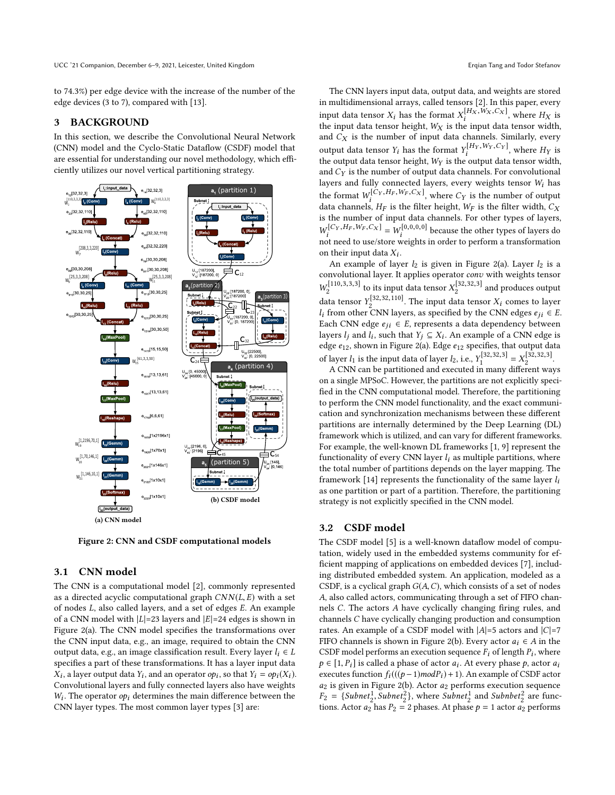to 74.3%) per edge device with the increase of the number of the edge devices (3 to 7), compared with [\[13\]](#page-7-9).

## <span id="page-3-0"></span>3 BACKGROUND

In this section, we describe the Convolutional Neural Network (CNN) model and the Cyclo-Static Dataflow (CSDF) model that are essential for understanding our novel methodology, which efficiently utilizes our novel vertical partitioning strategy.

<span id="page-3-2"></span><span id="page-3-1"></span>

Figure 2: CNN and CSDF computational models

### <span id="page-3-3"></span>3.1 CNN model

The CNN is a computational model [\[2\]](#page-7-12), commonly represented as a directed acyclic computational graph  $CNN(L, E)$  with a set of nodes <sup>L</sup>, also called layers, and a set of edges <sup>E</sup>. An example of a CNN model with  $|L|=23$  layers and  $|E|=24$  edges is shown in Figure [2\(a\).](#page-3-1) The CNN model specifies the transformations over the CNN input data, e.g., an image, required to obtain the CNN output data, e.g., an image classification result. Every layer  $l_i \in L$ specifies a part of these transformations. It has a layer input data  $\sum_{i=1}^{n} \sum_{i=1}^{n} \sum_{j=1}^{n} \sum_{i=1}^{n} \sum_{j=1}^{n} \sum_{j=1}^{n} \sum_{j=1}^{n} \sum_{j=1}^{n} \sum_{j=1}^{n} \sum_{j=1}^{n} \sum_{j=1}^{n} \sum_{j=1}^{n} \sum_{j=1}^{n} \sum_{j=1}^{n} \sum_{j=1}^{n} \sum_{j=1}^{n} \sum_{j=1}^{n} \sum_{j=1}^{n} \sum_{j=1}^{n} \sum_{j=1}^{n} \sum_{j=1}^{n} \sum_{j=1}^{n}$ , a layer output data  $Y_i$ , and an operator  $op_i$ , so that  $Y_i = op_i(X_i)$ . CNN layer types. The most common layer types [\[3\]](#page-7-1) are:  $W_i$ . The operator  $op_i$  determines the main difference between the

The CNN layers input data, output data, and weights are stored in multidimensional arrays, called tensors [\[2\]](#page-7-12). In this paper, every input data tensor  $X_i$  has the format  $X_i^{[H_X, W_X, C_X]}$ , where  $H_X$  is the input data tensor width the input data tensor height,  $W_X$  is the input data tensor width, and  $C_X$  is the number of input data channels. Similarly, every and  $C_X$  is the number of input data channels. Similarly, every output data tensor  $Y_i$  has the format  $Y_i^{[H_Y, W_Y, C_Y]}$ , where  $H_Y$  is<br>the output data tensor height.  $W_X$  is the output data tensor width the output data tensor height,  $W_Y$  is the output data tensor width,<br>and  $C_Y$  is the number of output data channels. For convolutional and  $C_Y$  is the number of output data channels. For convolutional layers and fully connected layers, every weights tensor  $W<sub>i</sub>$  has the format  $W_i^{[C_Y, H_F, W_F, C_X]}$ , where  $C_Y$  is the number of output<br>data channels. He is the filter height,  $W_F$  is the filter width. Cy data channels,  $H_F$  is the filter height,  $W_F$  is the filter width,  $C_X$ <br>is the number of input data channels. For other types of layers is the number of input data channels. For other types of layers,  $\frac{1}{i}$  not need to use/store weights in order to perform a transformation  $[C_Y, H_F, W_F, C_X] = W_i^{[0,0,0,0]}$  because the other types of layers do  $\frac{1}{\sqrt{2}}$  and the use state weights in order to perform a transformation on their input data  $X_i$ .<br>An example of law

An example of layer  $l_2$  is given in Figure [2\(a\).](#page-3-1) Layer  $l_2$  is a convolutional layer. It applies operator *conv* with weights tensor convolutional layer. It applies operator *conv* with weights tensor  $W_2^{[110,3,3,3]}$  to its input data tensor  $X_2^{[32,32,3]}$  and produces output  $W_2^{[110,3,3,3]}$  to its input data tensor  $X_2^1$ data tensor  $Y_2^{[32,32,110]}$ . The input data tensor  $X_i$  comes to layer  $l_i$  from other CNN layers, as specified by the CNN edges  $e_{ij} \in E$ . Each CNN edge  $e_{ji} \in E$ , represents a data dependency between layers  $l_j$  and  $l_i$ , such that  $Y_j \subseteq X_i$ . An example of a CNN edge is<br>adge  $g_{i\alpha}$  shown in Figure 2(a). Edge  $g_{i\alpha}$  specifies that output data edge  $e_{12}$  shown in Figure [2\(a\).](#page-3-1) Edge  $e_{12}$  specifies, that output data of layer  $l_1$  is the input data of layer  $l_2$ , i.e.,  $Y_1^{[32,32,3]} = X_2^{[32,32,3]}$ .

A CNN can be partitioned and executed in many different ways on a single MPSoC. However, the partitions are not explicitly specified in the CNN computational model. Therefore, the partitioning to perform the CNN model functionality, and the exact communication and synchronization mechanisms between these different partitions are internally determined by the Deep Learning (DL) framework which is utilized, and can vary for different frameworks. For example, the well-known DL frameworks [\[1,](#page-7-13) [9\]](#page-7-14) represent the functionality of every CNN layer  $l_i$  as multiple partitions, where the total number of partitions depends on the layer mapping. The framework [\[14\]](#page-7-6) represents the functionality of the same layer  $l_i$ as one partition or part of a partition. Therefore, the partitioning strategy is not explicitly specified in the CNN model.

## <span id="page-3-4"></span>3.2 CSDF model

The CSDF model [\[5\]](#page-7-10) is a well-known dataflow model of computation, widely used in the embedded systems community for efficient mapping of applications on embedded devices [\[7\]](#page-7-15), including distributed embedded system. An application, modeled as a CSDF, is a cyclical graph  $G(A, C)$ , which consists of a set of nodes A, also called actors, communicating through a set of FIFO channels <sup>C</sup>. The actors <sup>A</sup> have cyclically changing firing rules, and channels C have cyclically changing production and consumption rates. An example of a CSDF model with  $|A|=5$  actors and  $|C|=7$ FIFO channels is shown in Figure [2\(b\).](#page-3-2) Every actor  $a_i \in A$  in the CSDF model performs an execution sequence  $F_i$  of length  $P_i$ , where  $\alpha \in [1, P_i]$  is called a phase of actor  $a_i$ . At every phase  $\alpha$  actor  $a_i$ .  $p \in [1, P_i]$  is called a phase of actor  $a_i$ . At every phase p, actor  $a_i$ <br>executes function  $f(((n-1)modP)+1)$  An example of CSDE actor executes function  $f_i((p-1)modP_i)+1)$ . An example of CSDF actor  $a_2$  is given in Figure [2\(b\).](#page-3-2) Actor  $a_2$  performs execution sequence  $F_2 = \{Subnet_2^1, Subnet_2^2\}$ , where  $Subnet_2^1$  and  $Subnbet_2^2$  are func-<br>tions, Actor  $a_2$  has  $P_2 = 2$  phases. At phase  $b = 1$  actor  $a_2$  performs tions. Actor  $a_2$  has  $P_2 = 2$  phases. At phase  $p = 1$  actor  $a_2$  performs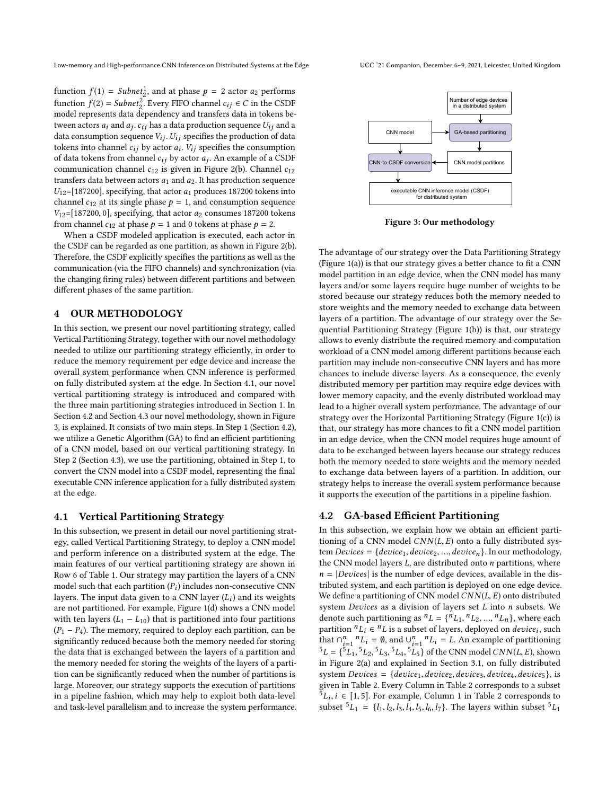function  $f(1) = Subnet_1^1$ , and at phase  $p = 2$  actor  $a_2$  performs function  $f(2) = Subnet<sub>2</sub><sup>2</sup>$ . Every FIFO channel  $c_{ij} \in C$  in the CSDF model represents data dependency and transfers data in tokens bemodel represents data dependency and transfers data in tokens between actors  $a_i$  and  $a_j$ .  $c_{ij}$  has a data production sequence  $U_{ij}$  and a data consumption sequence  $V_i$  :  $U_i$  specifies the production of data data consumption sequence  $V_{ij}$ .  $U_{ij}$  specifies the production of data tokens into channel  $c_{ij}$  by actor  $a_i$ .  $V_{ij}$  specifies the consumption of data tokens from channel  $c_i$ . W actor  $a_i$ . An example of a CSDE of data tokens from channel  $c_{ij}$  by actor  $a_j$ . An example of a CSDF communication channel  $c_{i0}$  is given in Figure 2(b). Channel  $c_{i0}$ communication channel  $c_{12}$  is given in Figure [2\(b\).](#page-3-2) Channel  $c_{12}$ transfers data between actors  $a_1$  and  $a_2$ . It has production sequence  $U_{12}$ =[187200], specifying, that actor  $a_1$  produces 187200 tokens into channel  $c_{12}$  at its single phase  $p = 1$ , and consumption sequence  $V_{12}$ =[187200, 0], specifying, that actor  $a_2$  consumes 187200 tokens from channel  $c_{12}$  at phase  $p = 1$  and 0 tokens at phase  $p = 2$ .

When a CSDF modeled application is executed, each actor in the CSDF can be regarded as one partition, as shown in Figure [2\(b\).](#page-3-2) Therefore, the CSDF explicitly specifies the partitions as well as the communication (via the FIFO channels) and synchronization (via the changing firing rules) between different partitions and between different phases of the same partition.

## <span id="page-4-1"></span>4 OUR METHODOLOGY

In this section, we present our novel partitioning strategy, called Vertical Partitioning Strategy, together with our novel methodology needed to utilize our partitioning strategy efficiently, in order to reduce the memory requirement per edge device and increase the overall system performance when CNN inference is performed on fully distributed system at the edge. In Section [4.1,](#page-4-0) our novel vertical partitioning strategy is introduced and compared with the three main partitioning strategies introduced in Section [1.](#page-0-0) In Section [4.2](#page-4-2) and Section [4.3](#page-5-0) our novel methodology, shown in Figure [3,](#page-4-3) is explained. It consists of two main steps. In Step 1 (Section [4.2\)](#page-4-2), we utilize a Genetic Algorithm (GA) to find an efficient partitioning of a CNN model, based on our vertical partitioning strategy. In Step 2 (Section [4.3\)](#page-5-0), we use the partitioning, obtained in Step 1, to convert the CNN model into a CSDF model, representing the final executable CNN inference application for a fully distributed system at the edge.

## <span id="page-4-0"></span>4.1 Vertical Partitioning Strategy

In this subsection, we present in detail our novel partitioning strategy, called Vertical Partitioning Strategy, to deploy a CNN model and perform inference on a distributed system at the edge. The main features of our vertical partitioning strategy are shown in Row 6 of Table [1.](#page-1-0) Our strategy may partition the layers of a CNN model such that each partition  $(P_i)$  includes non-consecutive CNN<br>layers. The input data given to a CNN layer  $(I_1)$  and its weights layers. The input data given to a CNN layer  $(L_i)$  and its weights<br>are not partitioned. For example, Figure 1(d) shows a CNN model are not partitioned. For example, Figure [1\(d\)](#page-1-4) shows a CNN model with ten layers  $(L_1 - L_{10})$  that is partitioned into four partitions  $(P_1 - P_4)$ . The memory, required to deploy each partition, can be significantly reduced because both the memory needed for storing the data that is exchanged between the layers of a partition and the memory needed for storing the weights of the layers of a partition can be significantly reduced when the number of partitions is large. Moreover, our strategy supports the execution of partitions in a pipeline fashion, which may help to exploit both data-level and task-level parallelism and to increase the system performance.

<span id="page-4-3"></span>

Figure 3: Our methodology

The advantage of our strategy over the Data Partitioning Strategy (Figure [1\(a\)\)](#page-1-1) is that our strategy gives a better chance to fit a CNN model partition in an edge device, when the CNN model has many layers and/or some layers require huge number of weights to be stored because our strategy reduces both the memory needed to store weights and the memory needed to exchange data between layers of a partition. The advantage of our strategy over the Sequential Partitioning Strategy (Figure [1\(b\)\)](#page-1-2) is that, our strategy allows to evenly distribute the required memory and computation workload of a CNN model among different partitions because each partition may include non-consecutive CNN layers and has more chances to include diverse layers. As a consequence, the evenly distributed memory per partition may require edge devices with lower memory capacity, and the evenly distributed workload may lead to a higher overall system performance. The advantage of our strategy over the Horizontal Partitioning Strategy (Figure [1\(c\)\)](#page-1-3) is that, our strategy has more chances to fit a CNN model partition in an edge device, when the CNN model requires huge amount of data to be exchanged between layers because our strategy reduces both the memory needed to store weights and the memory needed to exchange data between layers of a partition. In addition, our strategy helps to increase the overall system performance because it supports the execution of the partitions in a pipeline fashion.

#### <span id="page-4-2"></span>4.2 GA-based Efficient Partitioning

In this subsection, we explain how we obtain an efficient partitioning of a CNN model  $CNN(L, E)$  onto a fully distributed system Devices = { $device_1, device_2, ..., device_n$ }. In our methodology, the CNN model layers  $L$ , are distributed onto  $n$  partitions, where  $n = |Devices|$  is the number of edge devices, available in the distributed system, and each partition is deployed on one edge device. We define a partitioning of CNN model  $CNN(L, E)$  onto distributed system Devices as a division of layers set L into n subsets. We denote such partitioning as  ${}^nL = \{ {}^nL_1, {}^nL_2, ..., {}^nL_n \}$ , where each partition  ${}^nL \in {}^nL$  is a subset of layers deployed on device; such denote such partitioning as " $L = \{m_1, m_2, ..., m_L\}$ , where each<br>partition  ${}^n L_i \in {}^n L$  is a subset of layers, deployed on *device<sub>i</sub>*, such<br>that  $\bigcap_{i=1}^n L_i = \emptyset$  and  $\bigcup_{i=1}^n L_i = I$ . An example of partitioning that  $\bigcap_{i=1}^{n} {}^{n}L_{i} = \emptyset$ , and  $\bigcup_{i=1}^{n} {}^{n}L_{i} = L$ . An example of partitioning<br>51 =  $\bigcup_{i=1}^{5}$  51 = 51 = 51 = 51 = 54 the CNN medal CNN(LE) shows  ${}^{5}L = \binom{5}{1}, {}^{5}L_2, {}^{5}L_3, {}^{5}L_4, {}^{5}L_5$  of the CNN model *CNN*(*L, E*), shown<br>in Figure 2(a) and explained in Section 3.1 on fully distributed  $L = \{L_1, L_2, L_3, L_4, L_5\}$  of the CNN model CNN(L, E), shown<br>in Figure [2\(a\)](#page-3-1) and explained in Section [3.1,](#page-3-3) on fully distributed system Devices =  ${device<sub>1</sub>, device<sub>2</sub>, device<sub>3</sub>, device<sub>4</sub>, device<sub>5</sub>},$  is given in Table [2.](#page-5-1) Every Column in Table [2](#page-5-1) corresponds to a subset  $\overline{5}L_i$ ,  $i \in [1, 5]$ . For example, Column 1 in Table [2](#page-5-1) corresponds to subset  $5L_i = L_i L_i L_i L_i L_i$ . The layers within subset  $5L_i$ subset  ${}^{5}L_1 = \{l_1, l_2, l_3, l_4, l_5, l_6, l_7\}$ . The layers within subset  ${}^{5}L_1$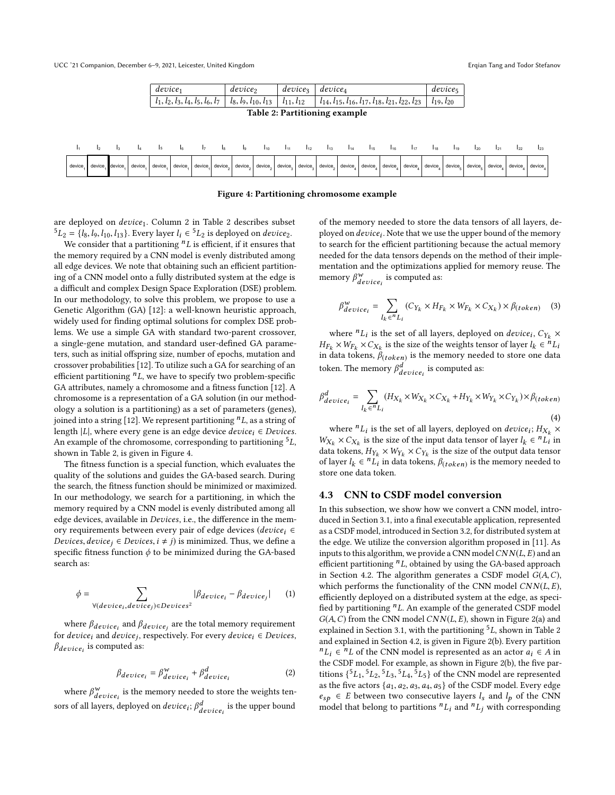UCC '21 Companion, December 6-9, 2021, Leicester, United Kingdom **Erqian Tang and Todor Stefanov** Erqian Tang and Todor Stefanov

<span id="page-5-2"></span><span id="page-5-1"></span>

Figure 4: Partitioning chromosome example

are deployed on *device*<sub>1</sub>. Column [2](#page-5-1) in Table 2 describes subset  ${}^{5}L_{2} = \{l_8, l_9, l_{10}, l_{13}\}$ . Every layer  $l_i \in {}^{5}L_{2}$  is deployed on device<sub>2</sub>.<br>We consider that a partitioning <sup>n</sup>I is efficient if it ensures that

We consider that a partitioning  ${}^nL$  is efficient, if it ensures that the memory required by a CNN model is evenly distributed among all edge devices. We note that obtaining such an efficient partitioning of a CNN model onto a fully distributed system at the edge is a difficult and complex Design Space Exploration (DSE) problem. In our methodology, to solve this problem, we propose to use a Genetic Algorithm (GA) [\[12\]](#page-7-16): a well-known heuristic approach, widely used for finding optimal solutions for complex DSE problems. We use a simple GA with standard two-parent crossover, a single-gene mutation, and standard user-defined GA parameters, such as initial offspring size, number of epochs, mutation and crossover probabilities [\[12\]](#page-7-16). To utilize such a GA for searching of an efficient partitioning  $n<sub>L</sub>$ , we have to specify two problem-specific GA attributes, namely a chromosome and a fitness function [\[12\]](#page-7-16). A chromosome is a representation of a GA solution (in our methodology a solution is a partitioning) as a set of parameters (genes), joined into a string [\[12\]](#page-7-16). We represent partitioning  ${}^nL$ , as a string of length |L|, where every gene is an edge device  $device_i \in Devices$ . An example of the chromosome, corresponding to partitioning  ${}^{5}L$ , shown in Table [2,](#page-5-1) is given in Figure [4.](#page-5-2)

The fitness function is a special function, which evaluates the quality of the solutions and guides the GA-based search. During the search, the fitness function should be minimized or maximized. In our methodology, we search for a partitioning, in which the memory required by a CNN model is evenly distributed among all edge devices, available in Devices, i.e., the difference in the memory requirements between every pair of edge devices (device<sub>i</sub> ∈ *Devices, device<sub>j</sub>* ∈ *Devices, i* ≠ *j*) is minimized. Thus, we define a specific fitness function  $\phi$  to be minimized during the GA-based search as:

$$
\phi = \sum_{\forall (device_i, device_j) \in Devices^2} |\beta_{device_i} - \beta_{device_j}| \tag{1}
$$

where  $\beta_{device_i}$  and  $\beta_{device_j}$  are the total memory requirement<br>cdevice, and device, respectively. For every device,  $\epsilon$  Devices for device<sub>i</sub> and device<sub>j</sub>, respectively. For every device<sub>i</sub>  $\in$  Devices,  $\beta$ ,  $\ldots$  is computed as:  $\beta_{device_i}$  is computed as:

<span id="page-5-3"></span>
$$
\beta_{device_i} = \beta_{device_i}^{\mathbf{w}} + \beta_{device_i}^d \tag{2}
$$

where  $\beta_{device_i}^w$  is the memory needed to store the weights tensors of all layers, deployed on  $device_i$ ;  $\beta_{device_i}^d$  is the upper bound

of the memory needed to store the data tensors of all layers, deployed on *device<sub>i</sub>*. Note that we use the upper bound of the memory<br>to search for the efficient partitioning because the actual memory to search for the efficient partitioning because the actual memory needed for the data tensors depends on the method of their implementation and the optimizations applied for memory reuse. The memory  $\beta^w_{device_i}$  is computed as:

$$
\beta_{device_i}^{\mathbf{w}} = \sum_{l_k \in {^{n}L_i}} (C_{Y_k} \times H_{F_k} \times W_{F_k} \times C_{X_k}) \times \beta_{(token)} \quad (3)
$$

where  ${}^nL_i$  is the set of all layers, deployed on *device<sub>i</sub>*,  $C_{Y_k} \times W_{\infty} \times C_{Y_k}$  is the size of the weights tensor of layer  $l_i \in {}^nI$ .  $H_{F_k} \times w_{F_k} \times c_{X_k}$  is the size of the weights tensor of layer  $i_k \in L_i$ <br>in data tokens,  $\beta_{(token)}$  is the memory needed to store one data  $\times W_{F_k} \times C_{X_k}$  is the size of the weights tensor of layer  $l_k \in$ <br>the tokens  $R_{k+1}$  is the memory needed to store one. token. The memory  $\beta_{device_i}^d$  is computed as:

$$
\beta_{device_i}^d = \sum_{l_k \in {^n}L_i} (H_{X_k} \times W_{X_k} \times C_{X_k} + H_{Y_k} \times W_{Y_k} \times C_{Y_k}) \times \beta_{(token)}
$$
\n(4)

where  ${}^nL_i$  is the set of all layers, deployed on *device<sub>i</sub>*;  $H_{X_k} \times$ <br> $\cdots \times C_N$  is the size of the input data tensor of layer  $l_i \in {}^nI$ , in  $W_{A_k} \times C_{A_k}$  is the size of the input data tensor of  $W_k \subseteq E_l$  in<br>data tokens,  $H_{Y_k} \times W_{Y_k} \times C_{Y_k}$  is the size of the output data tensor  $\times C_{X_k}$  is the size of the input data tensor of layer  $l_k \in {^nL}_i$  in<br>tokens  $H_{Y} \times W_{Y} \times C_{Y}$  is the size of the output data tensor of layer  $l_k \in {}^nL_i$  in data tokens,  $\beta_{(token)}$  is the memory needed to store one data token store one data token.

#### <span id="page-5-0"></span>4.3 CNN to CSDF model conversion

In this subsection, we show how we convert a CNN model, introduced in Section [3.1,](#page-3-3) into a final executable application, represented as a CSDF model, introduced in Section [3.2,](#page-3-4) for distributed system at the edge. We utilize the conversion algorithm proposed in [\[11\]](#page-7-17). As inputs to this algorithm, we provide a CNN model  $CNN(L, E)$  and an efficient partitioning  $nL$ , obtained by using the GA-based approach in Section [4.2.](#page-4-2) The algorithm generates a CSDF model  $G(A, C)$ , which performs the functionality of the CNN model  $CNN(L, E)$ , efficiently deployed on a distributed system at the edge, as specified by partitioning  $nL$ . An example of the generated CSDF model  $G(A, C)$  from the CNN model  $CNN(L, E)$ , shown in Figure [2\(a\)](#page-3-1) and explained in Section [3.1,](#page-3-3) with the partitioning  ${}^5L$ , shown in Table [2](#page-5-1) and explained in Section [4.2,](#page-4-2) is given in Figure [2\(b\).](#page-3-2) Every partition  ${}^nL_i \in {}^nL$  of the CNN model is represented as an actor  $a_i \in A$  in the CSDE model. For example, as shown in Figure 2(b), the five part the CSDF model. For example, as shown in Figure [2\(b\),](#page-3-2) the five partitions  $\{5L_1, 5L_2, 5L_3, 5L_4, 5L_5\}$  of the CNN model are represented<br>as the five actors  $f_{\alpha_1, \alpha_2, \alpha_3, \alpha_4, \alpha_5}$  of the CSDE model. Every edge as the five actors  $\{a_1, a_2, a_3, a_4, a_5\}$  of the CSDF model. Every edge  $e_{sp} \in E$  between two consecutive layers  $l_s$  and  $l_p$  of the CNN model that belong to partitions  ${}^nL_i$  and  ${}^nL_j$  with corresponding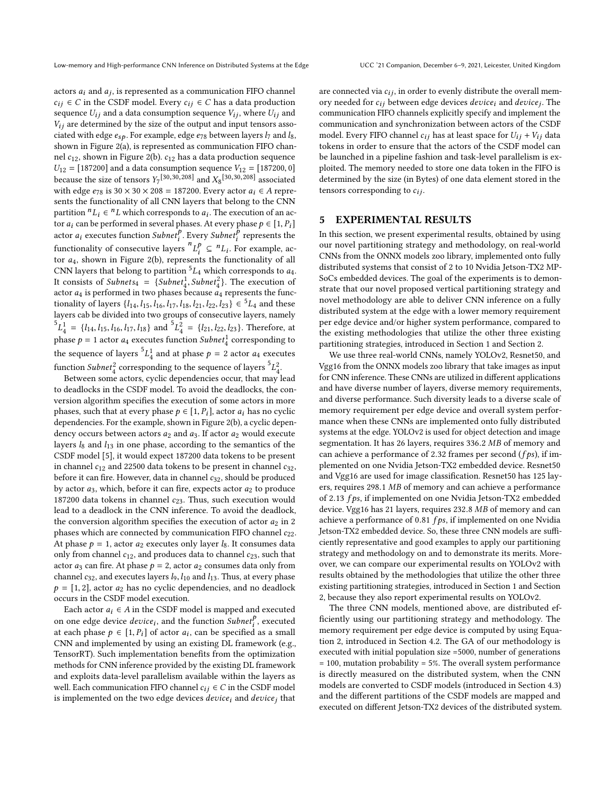actors  $a_i$  and  $a_j$ , is represented as a communication FIFO channel<br> $c_i \in C$  in the CSDE model. Every  $c_i \in C$  has a data production  $c_{ij} \in C$  in the CSDF model. Every  $c_{ij} \in C$  has a data production sequence  $U_{ij}$  and a data consumption sequence  $V_{ij}$ , where  $U_{ij}$  and  $V_{ij}$  are determined by the size of the output and input tensors associated with edge  $e_{sp}$ . For example, edge  $e_{78}$  between layers  $l_7$  and  $l_8$ , shown in Figure [2\(a\),](#page-3-1) is represented as communication FIFO channel  $c_{12}$ , shown in Figure [2\(b\).](#page-3-2)  $c_{12}$  has a data production sequence  $U_{12} = [187200]$  and a data consumption sequence  $V_{12} = [187200, 0]$ because the size of tensors  $Y_7^{[30,30,208]}$  and  $X_8^{[30,30,208]}$  associated<br>with adge  $g_{\text{res}}$  is  $30 \times 30 \times 208 = 187200$ . Every actor  $g_{\text{res}} \in A$  represent with edge  $e_{78}$  is 30 × 30 × 208 = 187200. Every actor  $a_i \in A$  represents the functionality of all CNN layers that belong to the CNN partition  ${}^nL_i \in {}^nL$  which corresponds to  $a_i$ . The execution of an actor  $a_i$  can be performed in several phases. At every phase  $a \in [1, p]$ . tor  $a_i$  can be performed in several phases. At every phase  $p \in [1, P_i]$ actor  $a_i$  executes function Subnet<sup>p</sup>. Every Subnet<sup>p</sup> represents the functionality of consecutive layers  ${}^n L_i^p \subseteq {}^n L_i$ . For example, acfunctionality of consecutive layers  $L_i \subseteq L_i$ , for example, actor *a*<sub>4</sub>, shown in Figure [2\(b\),](#page-3-2) represents the functionality of all CNN layers that belong to partition <sup>5</sup>L, which corresponds to a CNN layers that belong to partition  ${}^5L_4$  which corresponds to  $a_4$ . It consists of Subnets<sub>4</sub> = {Subnet<sup>1</sup>}, Subnet<sup>2</sup>}. The execution of actor *a*<sub>1</sub> is performed in two phases because *a*<sub>4</sub> represents the funcactor  $a_4$  is performed in two phases because  $a_4$  represents the functionality of layers  $\{l_{14}, l_{15}, l_{16}, l_{17}, l_{18}, l_{21}, l_{22}, l_{23}\} \in {}^{5}L_{4}$  and these layers cab be divided into two groups of consecutive layers, namely  ${}^{5}L_{4}^{1} = \{l_{14}, l_{15}, l_{16}, l_{17}, l_{18}\}$  and  ${}^{5}L_{4}^{2} = \{l_{21}, l_{22}, l_{23}\}$ . Therefore, at the leader so attention function Submath comparison directed phase  $p = 1$  actor  $a_4$  executes function  $\text{Subnet}_4^1$  corresponding to the sequence of layers  ${}^{5}L_{4}^{1}$  and at phase  $p = 2$  actor  $a_4$  executes function  $Subnet<sub>4</sub><sup>2</sup>$  corresponding to the sequence of layers  ${}^{5}L<sub>4</sub><sup>2</sup>$ .<br>Between some actors, cyclic dependencies occur that may be

Between some actors, cyclic dependencies occur, that may lead to deadlocks in the CSDF model. To avoid the deadlocks, the conversion algorithm specifies the execution of some actors in more phases, such that at every phase  $p \in [1, P_i]$ , actor  $a_i$  has no cyclic dependencies. For the example, shown in Figure [2\(b\),](#page-3-2) a cyclic dependency occurs between actors  $a_2$  and  $a_3$ . If actor  $a_2$  would execute layers  $l_8$  and  $l_{13}$  in one phase, according to the semantics of the CSDF model [\[5\]](#page-7-10), it would expect 187200 data tokens to be present in channel  $c_{12}$  and 22500 data tokens to be present in channel  $c_{32}$ , before it can fire. However, data in channel  $c_{32}$ , should be produced by actor  $a_3$ , which, before it can fire, expects actor  $a_2$  to produce 187200 data tokens in channel  $c_{23}$ . Thus, such execution would lead to a deadlock in the CNN inference. To avoid the deadlock, the conversion algorithm specifies the execution of actor  $a_2$  in 2 phases which are connected by communication FIFO channel  $c_{22}$ . At phase  $p = 1$ , actor  $a_2$  executes only layer  $l_8$ . It consumes data only from channel  $c_{12}$ , and produces data to channel  $c_{23}$ , such that actor  $a_3$  can fire. At phase  $p = 2$ , actor  $a_2$  consumes data only from channel  $c_{32}$ , and executes layers  $l_9$ ,  $l_{10}$  and  $l_{13}$ . Thus, at every phase  $p = \begin{bmatrix} 1 \\ 2 \end{bmatrix}$ , actor  $a_2$  has no cyclic dependencies, and no deadlock occurs in the CSDF model execution.

Each actor  $a_i \in A$  in the CSDF model is mapped and executed on one edge device *device<sub>i</sub>*, and the function *Subnet*<sup>*r*</sup>, executed at each phase  $h \in [1, R]$  of actor *a*, can be specified as a small at each phase  $p \in [1, P_i]$  of actor  $a_i$ , can be specified as a small<br>CNN and implemented by using an existing DI framework (e.g. CNN and implemented by using an existing DL framework (e.g., TensorRT). Such implementation benefits from the optimization methods for CNN inference provided by the existing DL framework and exploits data-level parallelism available within the layers as well. Each communication FIFO channel  $c_{ij} \in C$  in the CSDF model is implemented on the two edge devices  $device<sub>i</sub>$  and  $device<sub>j</sub>$  that

are connected via  $c_{ij}$ , in order to evenly distribute the overall memory needed for  $c_{ij}$  between edge devices *device<sub>i</sub>* and *device<sub>j</sub>*. The communication EIEO channels evolvitly specify and implement the communication FIFO channels explicitly specify and implement the communication and synchronization between actors of the CSDF model. Every FIFO channel  $c_{ij}$  has at least space for  $U_{ij} + V_{ij}$  data tokens in order to ensure that the actors of the CSDF model can be launched in a pipeline fashion and task-level parallelism is exploited. The memory needed to store one data token in the FIFO is determined by the size (in Bytes) of one data element stored in the tensors corresponding to  $c_{ij}$ .

## <span id="page-6-0"></span>5 EXPERIMENTAL RESULTS

In this section, we present experimental results, obtained by using our novel partitioning strategy and methodology, on real-world CNNs from the ONNX models zoo library, implemented onto fully distributed systems that consist of 2 to 10 Nvidia Jetson-TX2 MP-SoCs embedded devices. The goal of the experiments is to demonstrate that our novel proposed vertical partitioning strategy and novel methodology are able to deliver CNN inference on a fully distributed system at the edge with a lower memory requirement per edge device and/or higher system performance, compared to the existing methodologies that utilize the other three existing partitioning strategies, introduced in Section [1](#page-0-0) and Section [2.](#page-2-0)

We use three real-world CNNs, namely YOLOv2, Resnet50, and Vgg16 from the ONNX models zoo library that take images as input for CNN inference. These CNNs are utilized in different applications and have diverse number of layers, diverse memory requirements, and diverse performance. Such diversity leads to a diverse scale of memory requirement per edge device and overall system performance when these CNNs are implemented onto fully distributed systems at the edge. YOLOv2 is used for object detection and image segmentation. It has 26 layers, requires <sup>336</sup>.<sup>2</sup> MB of memory and can achieve a performance of 2.32 frames per second ( $fps$ ), if implemented on one Nvidia Jetson-TX2 embedded device. Resnet50 and Vgg16 are used for image classification. Resnet50 has 125 layers, requires <sup>298</sup>.<sup>1</sup> MB of memory and can achieve a performance of <sup>2</sup>.<sup>13</sup> f ps, if implemented on one Nvidia Jetson-TX2 embedded device. Vgg16 has 21 layers, requires <sup>232</sup>.<sup>8</sup> MB of memory and can achieve a performance of 0.81  $fps$ , if implemented on one Nvidia Jetson-TX2 embedded device. So, these three CNN models are sufficiently representative and good examples to apply our partitioning strategy and methodology on and to demonstrate its merits. Moreover, we can compare our experimental results on YOLOv2 with results obtained by the methodologies that utilize the other three existing partitioning strategies, introduced in Section [1](#page-0-0) and Section [2,](#page-2-0) because they also report experimental results on YOLOv2.

The three CNN models, mentioned above, are distributed efficiently using our partitioning strategy and methodology. The memory requirement per edge device is computed by using Equation [2,](#page-5-3) introduced in Section [4.2.](#page-4-2) The GA of our methodology is executed with initial population size =5000, number of generations = 100, mutation probability = 5%. The overall system performance is directly measured on the distributed system, when the CNN models are converted to CSDF models (introduced in Section [4.3\)](#page-5-0) and the different partitions of the CSDF models are mapped and executed on different Jetson-TX2 devices of the distributed system.